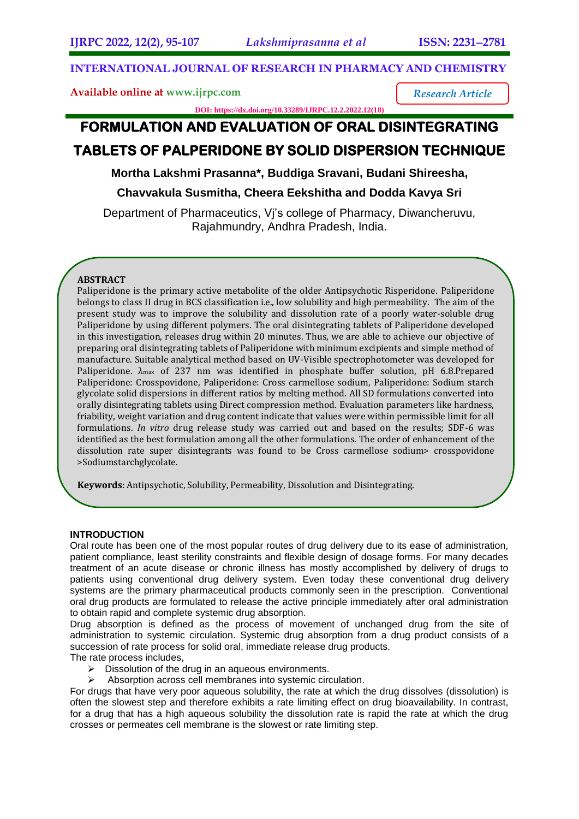*Research Article*

## **INTERNATIONAL JOURNAL OF RESEARCH IN PHARMACY AND CHEMISTRY**

**Available online at [www.ijrpc.com](http://www.ijrpc.com/)**

**DOI: https://dx.doi.org/10.33289/IJRPC.12.2.2022.12(18)** 

## **FORMULATION AND EVALUATION OF ORAL DISINTEGRATING TABLETS OF PALPERIDONE BY SOLID DISPERSION TECHNIQUE**

## **Mortha Lakshmi Prasanna\*, Buddiga Sravani, Budani Shireesha,**

**Chavvakula Susmitha, Cheera Eekshitha and Dodda Kavya Sri**

Department of Pharmaceutics, Vj's college of Pharmacy, Diwancheruvu, Rajahmundry, Andhra Pradesh, India.

## **ABSTRACT**

Paliperidone is the primary active metabolite of the older Antipsychotic Risperidone. Paliperidone belongs to class II drug in BCS classification i.e., low solubility and high permeability. The aim of the present study was to improve the solubility and dissolution rate of a poorly water-soluble drug Paliperidone by using different polymers. The oral disintegrating tablets of Paliperidone developed in this investigation, releases drug within 20 minutes. Thus, we are able to achieve our objective of preparing oral disintegrating tablets of Paliperidone with minimum excipients and simple method of manufacture. Suitable analytical method based on UV-Visible spectrophotometer was developed for Paliperidone.  $\lambda_{\text{max}}$  of 237 nm was identified in phosphate buffer solution, pH 6.8.Prepared Paliperidone: Crosspovidone, Paliperidone: Cross carmellose sodium, Paliperidone: Sodium starch glycolate solid dispersions in different ratios by melting method. All SD formulations converted into orally disintegrating tablets using Direct compression method. Evaluation parameters like hardness, friability, weight variation and drug content indicate that values were within permissible limit for all formulations. *In vitro* drug release study was carried out and based on the results; SDF-6 was identified as the best formulation among all the other formulations. The order of enhancement of the dissolution rate super disintegrants was found to be Cross carmellose sodium> crosspovidone >Sodiumstarchglycolate.

**Keywords**: Antipsychotic, Solubility, Permeability, Dissolution and Disintegrating.

### **INTRODUCTION**

Oral route has been one of the most popular routes of drug delivery due to its ease of administration, patient compliance, least sterility constraints and flexible design of dosage forms. For many decades treatment of an acute disease or chronic illness has mostly accomplished by delivery of drugs to patients using conventional drug delivery system. Even today these conventional drug delivery systems are the primary pharmaceutical products commonly seen in the prescription. Conventional oral drug products are formulated to release the active principle immediately after oral administration to obtain rapid and complete systemic drug absorption.

Drug absorption is defined as the process of movement of unchanged drug from the site of administration to systemic circulation. Systemic drug absorption from a drug product consists of a succession of rate process for solid oral, immediate release drug products.

The rate process includes,

- $\triangleright$  Dissolution of the drug in an aqueous environments.
- $\triangleright$  Absorption across cell membranes into systemic circulation.

For drugs that have very poor aqueous solubility, the rate at which the drug dissolves (dissolution) is often the slowest step and therefore exhibits a rate limiting effect on drug bioavailability. In contrast, for a drug that has a high aqueous solubility the dissolution rate is rapid the rate at which the drug crosses or permeates cell membrane is the slowest or rate limiting step.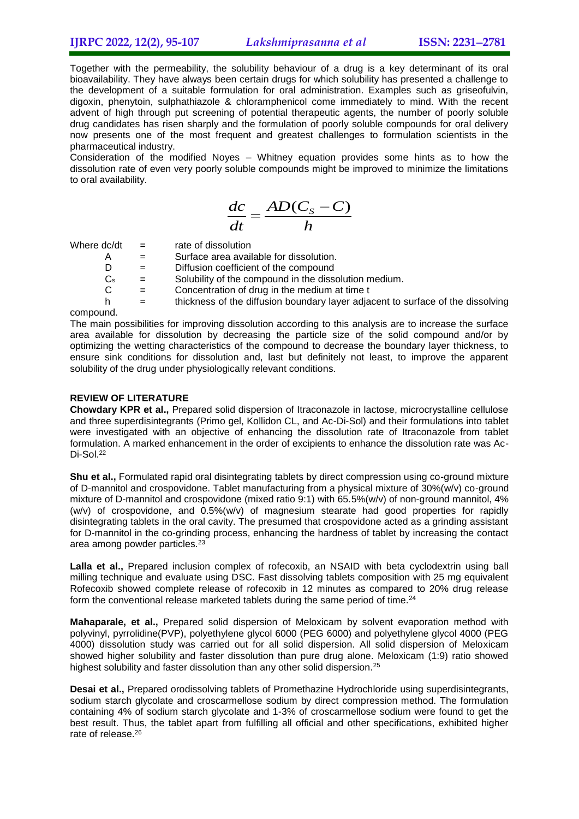Together with the permeability, the solubility behaviour of a drug is a key determinant of its oral bioavailability. They have always been certain drugs for which solubility has presented a challenge to the development of a suitable formulation for oral administration. Examples such as griseofulvin, digoxin, phenytoin, sulphathiazole & chloramphenicol come immediately to mind. With the recent advent of high through put screening of potential therapeutic agents, the number of poorly soluble drug candidates has risen sharply and the formulation of poorly soluble compounds for oral delivery now presents one of the most frequent and greatest challenges to formulation scientists in the pharmaceutical industry.

Consideration of the modified Noyes – Whitney equation provides some hints as to how the dissolution rate of even very poorly soluble compounds might be improved to minimize the limitations to oral availability.

$$
\frac{dc}{dt} = \frac{AD(C_S - C)}{h}
$$

Where  $dc/dt =$  rate of dissolution

- $A =$  Surface area available for dissolution.
- $D =$  Diffusion coefficient of the compound  $C_s =$  Solubility of the compound in the diss
- $=$  Solubility of the compound in the dissolution medium.
- $C =$  Concentration of drug in the medium at time t
- $h =$  thickness of the diffusion boundary layer adjacent to surface of the dissolving

compound.

The main possibilities for improving dissolution according to this analysis are to increase the surface area available for dissolution by decreasing the particle size of the solid compound and/or by optimizing the wetting characteristics of the compound to decrease the boundary layer thickness, to ensure sink conditions for dissolution and, last but definitely not least, to improve the apparent solubility of the drug under physiologically relevant conditions.

## **REVIEW OF LITERATURE**

**Chowdary KPR et al.,** Prepared solid dispersion of Itraconazole in lactose, microcrystalline cellulose and three superdisintegrants (Primo gel, Kollidon CL, and Ac-Di-Sol) and their formulations into tablet were investigated with an objective of enhancing the dissolution rate of Itraconazole from tablet formulation. A marked enhancement in the order of excipients to enhance the dissolution rate was Ac-Di-Sol.<sup>22</sup>

**Shu et al.,** Formulated rapid oral disintegrating tablets by direct compression using co-ground mixture of D-mannitol and crospovidone. Tablet manufacturing from a physical mixture of 30%(w/v) co-ground mixture of D-mannitol and crospovidone (mixed ratio 9:1) with 65.5%(w/v) of non-ground mannitol, 4% (w/v) of crospovidone, and 0.5%(w/v) of magnesium stearate had good properties for rapidly disintegrating tablets in the oral cavity. The presumed that crospovidone acted as a grinding assistant for D-mannitol in the co-grinding process, enhancing the hardness of tablet by increasing the contact area among powder particles.<sup>23</sup>

**Lalla et al.,** Prepared inclusion complex of rofecoxib, an NSAID with beta cyclodextrin using ball milling technique and evaluate using DSC. Fast dissolving tablets composition with 25 mg equivalent Rofecoxib showed complete release of rofecoxib in 12 minutes as compared to 20% drug release form the conventional release marketed tablets during the same period of time.<sup>24</sup>

**Mahaparale, et al.,** Prepared solid dispersion of Meloxicam by solvent evaporation method with polyvinyl, pyrrolidine(PVP), polyethylene glycol 6000 (PEG 6000) and polyethylene glycol 4000 (PEG 4000) dissolution study was carried out for all solid dispersion. All solid dispersion of Meloxicam showed higher solubility and faster dissolution than pure drug alone. Meloxicam (1:9) ratio showed highest solubility and faster dissolution than any other solid dispersion.<sup>25</sup>

**Desai et al.,** Prepared orodissolving tablets of Promethazine Hydrochloride using superdisintegrants, sodium starch glycolate and croscarmellose sodium by direct compression method. The formulation containing 4% of sodium starch glycolate and 1-3% of croscarmellose sodium were found to get the best result. Thus, the tablet apart from fulfilling all official and other specifications, exhibited higher rate of release.<sup>26</sup>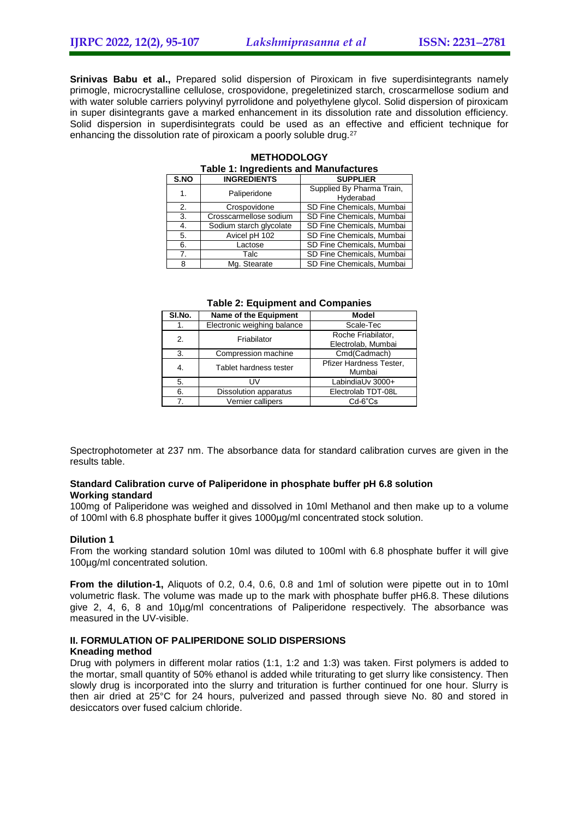**Srinivas Babu et al.,** Prepared solid dispersion of Piroxicam in five superdisintegrants namely primogle, microcrystalline cellulose, crospovidone, pregeletinized starch, croscarmellose sodium and with water soluble carriers polyvinyl pyrrolidone and polyethylene glycol. Solid dispersion of piroxicam in super disintegrants gave a marked enhancement in its dissolution rate and dissolution efficiency. Solid dispersion in superdisintegrats could be used as an effective and efficient technique for enhancing the dissolution rate of piroxicam a poorly soluble drug.<sup>27</sup>

|                | <b>Table 1: Ingredients and Manufactures</b> |                                        |  |  |  |  |  |  |
|----------------|----------------------------------------------|----------------------------------------|--|--|--|--|--|--|
| S.NO           | <b>INGREDIENTS</b>                           | <b>SUPPLIER</b>                        |  |  |  |  |  |  |
| 1.             | Paliperidone                                 | Supplied By Pharma Train,<br>Hyderabad |  |  |  |  |  |  |
| 2.             | Crospovidone                                 | SD Fine Chemicals, Mumbai              |  |  |  |  |  |  |
| 3.             | Crosscarmellose sodium                       | SD Fine Chemicals, Mumbai              |  |  |  |  |  |  |
| 4.             | Sodium starch glycolate                      | SD Fine Chemicals, Mumbai              |  |  |  |  |  |  |
| 5.             | Avicel pH 102                                | SD Fine Chemicals, Mumbai              |  |  |  |  |  |  |
| 6.             | Lactose                                      | SD Fine Chemicals, Mumbai              |  |  |  |  |  |  |
| 7 <sub>1</sub> | Talc                                         | SD Fine Chemicals, Mumbai              |  |  |  |  |  |  |
| 8              | Mg. Stearate                                 | SD Fine Chemicals, Mumbai              |  |  |  |  |  |  |

# **METHODOLOGY**

| SI.No. | Name of the Equipment        | <b>Model</b>            |  |  |
|--------|------------------------------|-------------------------|--|--|
| 1.     | Electronic weighing balance  | Scale-Tec               |  |  |
| 2.     | Friabilator                  | Roche Friabilator,      |  |  |
|        |                              | Electrolab, Mumbai      |  |  |
| 3.     | Compression machine          | Cmd(Cadmach)            |  |  |
| 4.     | Tablet hardness tester       | Pfizer Hardness Tester, |  |  |
|        |                              | Mumbai                  |  |  |
| 5.     | UV                           | LabindiaUv 3000+        |  |  |
| 6.     | <b>Dissolution apparatus</b> | Electrolab TDT-08L      |  |  |
| 7.     | Vernier callipers            | $Cd-6"Cs$               |  |  |

#### **Table 2: Equipment and Companies**

Spectrophotometer at 237 nm. The absorbance data for standard calibration curves are given in the results table.

## **Standard Calibration curve of Paliperidone in phosphate buffer pH 6.8 solution Working standard**

100mg of Paliperidone was weighed and dissolved in 10ml Methanol and then make up to a volume of 100ml with 6.8 phosphate buffer it gives 1000µg/ml concentrated stock solution.

#### **Dilution 1**

From the working standard solution 10ml was diluted to 100ml with 6.8 phosphate buffer it will give 100µg/ml concentrated solution.

**From the dilution-1,** Aliquots of 0.2, 0.4, 0.6, 0.8 and 1ml of solution were pipette out in to 10ml volumetric flask. The volume was made up to the mark with phosphate buffer pH6.8. These dilutions give 2, 4, 6, 8 and 10µg/ml concentrations of Paliperidone respectively. The absorbance was measured in the UV-visible.

#### **II. FORMULATION OF PALIPERIDONE SOLID DISPERSIONS Kneading method**

Drug with polymers in different molar ratios (1:1, 1:2 and 1:3) was taken. First polymers is added to the mortar, small quantity of 50% ethanol is added while triturating to get slurry like consistency. Then slowly drug is incorporated into the slurry and trituration is further continued for one hour. Slurry is then air dried at 25°C for 24 hours, pulverized and passed through sieve No. 80 and stored in desiccators over fused calcium chloride.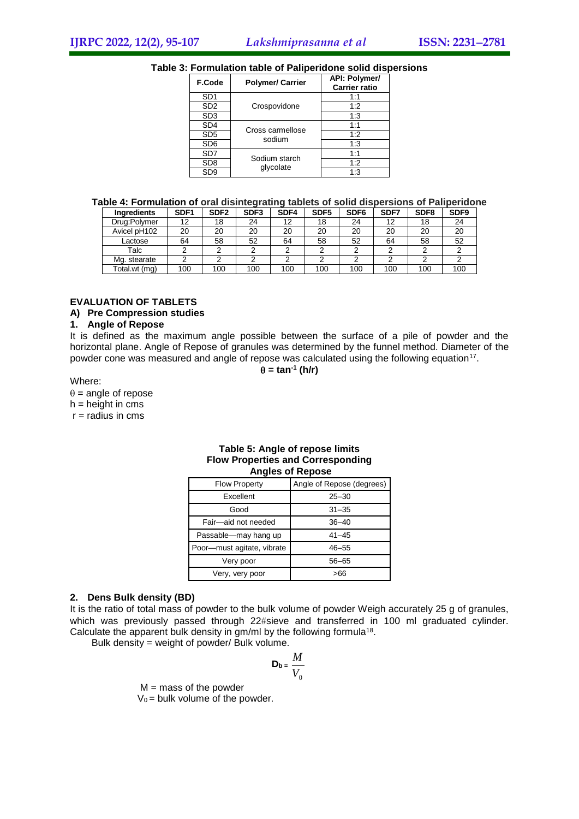#### **Table 3: Formulation table of Paliperidone solid dispersions**

| F.Code          | <b>Polymer/ Carrier</b> | <b>API: Polymer/</b><br><b>Carrier ratio</b> |
|-----------------|-------------------------|----------------------------------------------|
| SD <sub>1</sub> |                         | 1:1                                          |
| SD <sub>2</sub> | Crospovidone            | 1:2                                          |
| SD <sub>3</sub> |                         | 1:3                                          |
| SD <sub>4</sub> | Cross carmellose        | 1:1                                          |
| SD <sub>5</sub> | sodium                  | 1:2                                          |
| SD <sub>6</sub> |                         | 1:3                                          |
| SD7             | Sodium starch           | 1:1                                          |
| SD <sub>8</sub> | glycolate               | 1:2                                          |
| SD <sub>9</sub> |                         | 1:3                                          |

#### **Table 4: Formulation of oral disintegrating tablets of solid dispersions of Paliperidone**

| Ingredients   | SDF <sub>1</sub> | SDF <sub>2</sub> | SDF <sub>3</sub> | SDF4 | SDF <sub>5</sub> | SDF <sub>6</sub> | SDF7 | SDF <sub>8</sub> | SDF9 |
|---------------|------------------|------------------|------------------|------|------------------|------------------|------|------------------|------|
| Drug:Polymer  | 12               | 18               | 24               | 12   | 18               | 24               | 12   | 18               | 24   |
| Avicel pH102  | 20               | 20               | 20               | 20   | 20               | 20               | 20   | 20               | 20   |
| Lactose       | 64               | 58               | 52               | 64   | 58               | 52               | 64   | 58               | 52   |
| Talc          |                  |                  |                  |      | ົ                |                  |      |                  |      |
| Mg. stearate  |                  |                  |                  |      |                  |                  |      |                  |      |
| Total.wt (mg) | 100              | 100              | 100              | 100  | 100              | 100              | 100  | 100              | 100  |

#### **EVALUATION OF TABLETS**

#### **A) Pre Compression studies**

#### **1. Angle of Repose**

It is defined as the maximum angle possible between the surface of a pile of powder and the horizontal plane. Angle of Repose of granules was determined by the funnel method. Diameter of the powder cone was measured and angle of repose was calculated using the following equation<sup>17</sup>.

 $\theta$  = tan<sup>-1</sup> (h/r)

Where:

 $\theta$  = angle of repose

 $h =$  height in cms

 $r =$  radius in cms

#### **Table 5: Angle of repose limits Flow Properties and Corresponding Angles of Repose**

| <b>Flow Property</b>       | Angle of Repose (degrees) |  |  |  |
|----------------------------|---------------------------|--|--|--|
| Excellent                  | $25 - 30$                 |  |  |  |
| Good                       | $31 - 35$                 |  |  |  |
| Fair-aid not needed        | $36 - 40$                 |  |  |  |
| Passable-may hang up       | $41 - 45$                 |  |  |  |
| Poor-must agitate, vibrate | $46 - 55$                 |  |  |  |
| Very poor                  | 56–65                     |  |  |  |
| Very, very poor            | 566                       |  |  |  |

#### **2. Dens Bulk density (BD)**

It is the ratio of total mass of powder to the bulk volume of powder Weigh accurately 25 g of granules, which was previously passed through 22#sieve and transferred in 100 ml graduated cylinder. Calculate the apparent bulk density in  $gm/ml$  by the following formula<sup>18</sup>.

Bulk density = weight of powder/ Bulk volume.

$$
\mathbf{D}_{\mathbf{b}} = \frac{M}{V_0}
$$

 $M =$  mass of the powder

 $V_0$  = bulk volume of the powder.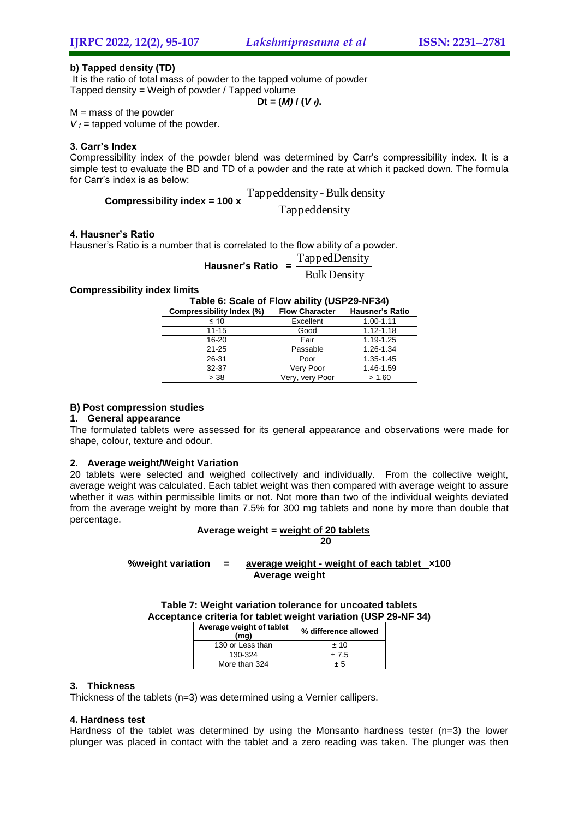## **b) Tapped density (TD)**

It is the ratio of total mass of powder to the tapped volume of powder Tapped density = Weigh of powder / Tapped volume  $Dt = (M) / (V_f)$ .

 $M =$  mass of the powder

 $V_f$  = tapped volume of the powder.

## **3. Carr's Index**

Compressibility index of the powder blend was determined by Carr's compressibility index. It is a simple test to evaluate the BD and TD of a powder and the rate at which it packed down. The formula for Carr's index is as below:

**Compressibility index = 100 x** 
$$
\frac{Tapped density - Bulk density}{Tapped density}
$$

#### **4. Hausner's Ratio**

Hausner's Ratio is a number that is correlated to the flow ability of a powder.

**Hausner's Ratio** = 
$$
\frac{\text{TappedDensity}}{\text{Bulk Density}}
$$

### **Compressibility index limits**

| Table 6: Scale of Flow ability (USP29-NF34)            |  |  |
|--------------------------------------------------------|--|--|
| Compressibility Index $(9)$ Flow Character Hausner's R |  |  |

| Compressibility Index (%) | <b>Flow Character</b> | <b>Hausner's Ratio</b> |
|---------------------------|-----------------------|------------------------|
| $\leq 10$                 | Excellent             | 1.00-1.11              |
| $11 - 15$                 | Good                  | $1.12 - 1.18$          |
| 16-20                     | Fair                  | 1.19-1.25              |
| $21 - 25$                 | Passable              | 1.26-1.34              |
| 26-31                     | Poor                  | 1.35-1.45              |
| 32-37                     | Very Poor             | 1.46-1.59              |
| > 38                      | Very, very Poor       | > 1.60                 |

#### **B) Post compression studies**

#### **1. General appearance**

The formulated tablets were assessed for its general appearance and observations were made for shape, colour, texture and odour.

### **2. Average weight/Weight Variation**

20 tablets were selected and weighed collectively and individually. From the collective weight, average weight was calculated. Each tablet weight was then compared with average weight to assure whether it was within permissible limits or not. Not more than two of the individual weights deviated from the average weight by more than 7.5% for 300 mg tablets and none by more than double that percentage.

#### **Average weight = weight of 20 tablets 20**

### **%weight variation = average weight - weight of each tablet ×100 Average weight**

**Table 7: Weight variation tolerance for uncoated tablets Acceptance criteria for tablet weight variation (USP 29-NF 34)**

| Average weight of tablet<br>(mq) | % difference allowed |
|----------------------------------|----------------------|
| 130 or Less than                 | ±10                  |
| 130-324                          | ±7.5                 |
| More than 324                    | + 5                  |

## **3. Thickness**

Thickness of the tablets (n=3) was determined using a Vernier callipers.

### **4. Hardness test**

Hardness of the tablet was determined by using the Monsanto hardness tester  $(n=3)$  the lower plunger was placed in contact with the tablet and a zero reading was taken. The plunger was then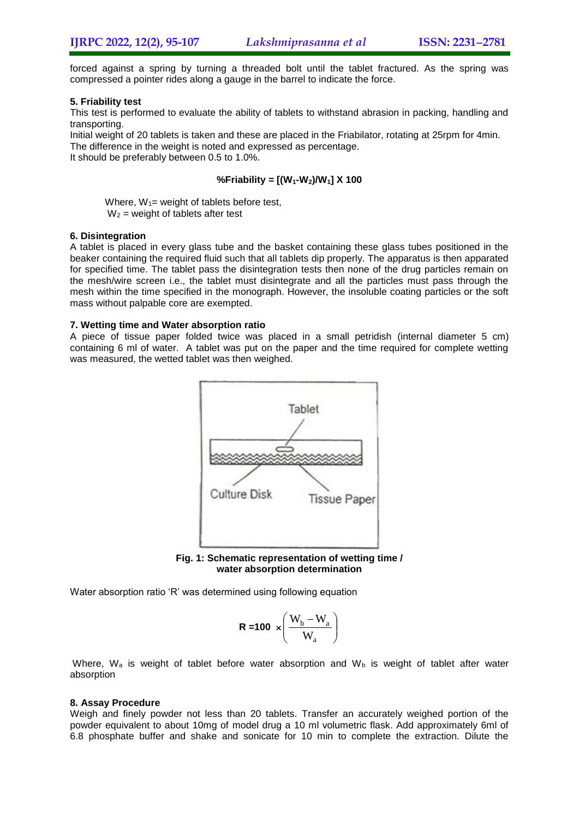forced against a spring by turning a threaded bolt until the tablet fractured. As the spring was compressed a pointer rides along a gauge in the barrel to indicate the force.

## **5. Friability test**

This test is performed to evaluate the ability of tablets to withstand abrasion in packing, handling and transporting.

Initial weight of 20 tablets is taken and these are placed in the Friabilator, rotating at 25rpm for 4min. The difference in the weight is noted and expressed as percentage. It should be preferably between 0.5 to 1.0%.

## **%Friability = [(W1-W2)/W1] X 100**

Where,  $W_1$ = weight of tablets before test,  $W_2$  = weight of tablets after test

### **6. Disintegration**

A tablet is placed in every glass tube and the basket containing these glass tubes positioned in the beaker containing the required fluid such that all tablets dip properly. The apparatus is then apparated for specified time. The tablet pass the disintegration tests then none of the drug particles remain on the mesh/wire screen i.e., the tablet must disintegrate and all the particles must pass through the mesh within the time specified in the monograph. However, the insoluble coating particles or the soft mass without palpable core are exempted.

## **7. Wetting time and Water absorption ratio**

A piece of tissue paper folded twice was placed in a small petridish (internal diameter 5 cm) containing 6 ml of water. A tablet was put on the paper and the time required for complete wetting was measured, the wetted tablet was then weighed.



**Fig. 1: Schematic representation of wetting time / water absorption determination**

Water absorption ratio 'R' was determined using following equation

$$
R = 100 \times \left(\frac{W_b - W_a}{W_a}\right)
$$

Where,  $W_a$  is weight of tablet before water absorption and  $W_b$  is weight of tablet after water absorption

### **8. Assay Procedure**

Weigh and finely powder not less than 20 tablets. Transfer an accurately weighed portion of the powder equivalent to about 10mg of model drug a 10 ml volumetric flask. Add approximately 6ml of 6.8 phosphate buffer and shake and sonicate for 10 min to complete the extraction. Dilute the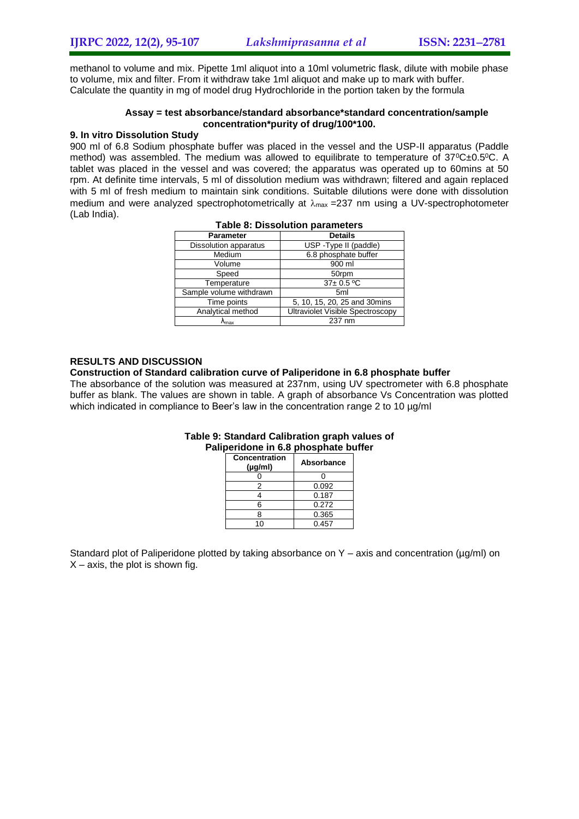methanol to volume and mix. Pipette 1ml aliquot into a 10ml volumetric flask, dilute with mobile phase to volume, mix and filter. From it withdraw take 1ml aliquot and make up to mark with buffer. Calculate the quantity in mg of model drug Hydrochloride in the portion taken by the formula

### **Assay = test absorbance/standard absorbance\*standard concentration/sample concentration\*purity of drug/100\*100.**

## **9. In vitro Dissolution Study**

900 ml of 6.8 Sodium phosphate buffer was placed in the vessel and the USP-II apparatus (Paddle method) was assembled. The medium was allowed to equilibrate to temperature of  $37^{\circ}$ C±0.5<sup>o</sup>C. A tablet was placed in the vessel and was covered; the apparatus was operated up to 60mins at 50 rpm. At definite time intervals, 5 ml of dissolution medium was withdrawn; filtered and again replaced with 5 ml of fresh medium to maintain sink conditions. Suitable dilutions were done with dissolution medium and were analyzed spectrophotometrically at  $\lambda_{\text{max}}$  =237 nm using a UV-spectrophotometer (Lab India).

| <b>Parameter</b>        | <b>Details</b>                          |
|-------------------------|-----------------------------------------|
| Dissolution apparatus   | USP - Type II (paddle)                  |
| Medium                  | 6.8 phosphate buffer                    |
| Volume                  | 900 ml                                  |
| Speed                   | 50rpm                                   |
| Temperature             | $37 \pm 0.5$ °C                         |
| Sample volume withdrawn | 5 <sub>ml</sub>                         |
| Time points             | 5, 10, 15, 20, 25 and 30 mins           |
| Analytical method       | <b>Ultraviolet Visible Spectroscopy</b> |
| <b>A</b> max            | 237 nm                                  |

## **Table 8: Dissolution parameters**

## **RESULTS AND DISCUSSION**

## **Construction of Standard calibration curve of Paliperidone in 6.8 phosphate buffer**

The absorbance of the solution was measured at 237nm, using UV spectrometer with 6.8 phosphate buffer as blank. The values are shown in table. A graph of absorbance Vs Concentration was plotted which indicated in compliance to Beer's law in the concentration range 2 to 10 µg/ml

| Concentration<br>$(\mu q/m)$ | Absorbance |
|------------------------------|------------|
|                              |            |
| 2                            | 0.092      |
|                              | 0.187      |
| 6                            | 0.272      |
| R                            | 0.365      |
|                              | 0.457      |

### **Table 9: Standard Calibration graph values of Paliperidone in 6.8 phosphate buffer**

Standard plot of Paliperidone plotted by taking absorbance on  $Y - axis$  and concentration ( $\mu q/ml$ ) on  $X$  – axis, the plot is shown fig.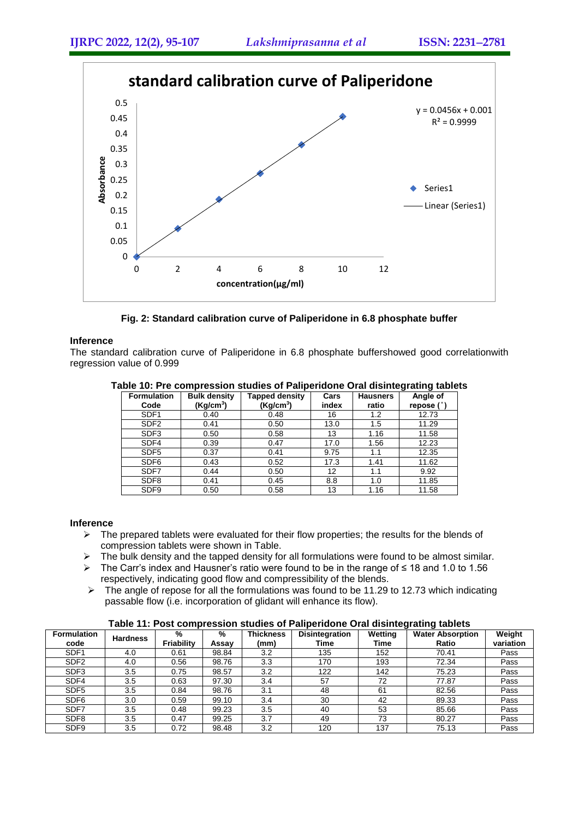

**Fig. 2: Standard calibration curve of Paliperidone in 6.8 phosphate buffer**

### **Inference**

The standard calibration curve of Paliperidone in 6.8 phosphate buffershowed good correlationwith regression value of 0.999

| <b>Formulation</b><br>Code | <b>Bulk density</b><br>(Kq/cm <sup>3</sup> ) | Tapped density<br>(Kg/cm <sup>3</sup> ) | Cars<br>index | <b>Hausners</b><br>ratio | Angle of<br>repose (° |
|----------------------------|----------------------------------------------|-----------------------------------------|---------------|--------------------------|-----------------------|
|                            |                                              |                                         |               |                          |                       |
| SDF <sub>1</sub>           | 0.40                                         | 0.48                                    | 16            | 1.2                      | 12.73                 |
| SDF <sub>2</sub>           | 0.41                                         | 0.50                                    | 13.0          | 1.5                      | 11.29                 |
| SDF3                       | 0.50                                         | 0.58                                    | 13            | 1.16                     | 11.58                 |
| SDF4                       | 0.39                                         | 0.47                                    | 17.0          | 1.56                     | 12.23                 |
| SDF <sub>5</sub>           | 0.37                                         | 0.41                                    | 9.75          | 1.1                      | 12.35                 |
| SDF <sub>6</sub>           | 0.43                                         | 0.52                                    | 17.3          | 1.41                     | 11.62                 |
| SDF7                       | 0.44                                         | 0.50                                    | 12            | 1.1                      | 9.92                  |
| SDF <sub>8</sub>           | 0.41                                         | 0.45                                    | 8.8           | 1.0                      | 11.85                 |
| SDF9                       | 0.50                                         | 0.58                                    | 13            | 1.16                     | 11.58                 |

#### **Table 10: Pre compression studies of Paliperidone Oral disintegrating tablets**

### **Inference**

- $\triangleright$  The prepared tablets were evaluated for their flow properties; the results for the blends of compression tablets were shown in Table.
- $\triangleright$  The bulk density and the tapped density for all formulations were found to be almost similar.
- The Carr's index and Hausner's ratio were found to be in the range of ≤ 18 and 1.0 to 1.56 respectively, indicating good flow and compressibility of the blends.
- $\triangleright$  The angle of repose for all the formulations was found to be 11.29 to 12.73 which indicating passable flow (i.e. incorporation of glidant will enhance its flow).

## **Table 11: Post compression studies of Paliperidone Oral disintegrating tablets**

|                    | <u>rawio 1111 oot oomproogram otaaliyo on Famporialorio oral alginiyaying tawloto</u> |            |       |                  |                       |         |                         |           |  |  |
|--------------------|---------------------------------------------------------------------------------------|------------|-------|------------------|-----------------------|---------|-------------------------|-----------|--|--|
| <b>Formulation</b> | <b>Hardness</b>                                                                       | %          | %     | <b>Thickness</b> | <b>Disintegration</b> | Wetting | <b>Water Absorption</b> | Weight    |  |  |
| code               |                                                                                       | Friability | Assay | (mm)             | Time                  | Time    | Ratio                   | variation |  |  |
| SDF <sub>1</sub>   | 4.0                                                                                   | 0.61       | 98.84 | 3.2              | 135                   | 152     | 70.41                   | Pass      |  |  |
| SDF <sub>2</sub>   | 4.0                                                                                   | 0.56       | 98.76 | 3.3              | 170                   | 193     | 72.34                   | Pass      |  |  |
| SDF <sub>3</sub>   | 3.5                                                                                   | 0.75       | 98.57 | 3.2              | 122                   | 142     | 75.23                   | Pass      |  |  |
| SDF4               | 3.5                                                                                   | 0.63       | 97.30 | 3.4              | 57                    | 72      | 77.87                   | Pass      |  |  |
| SDF <sub>5</sub>   | 3.5                                                                                   | 0.84       | 98.76 | 3.1              | 48                    | 61      | 82.56                   | Pass      |  |  |
| SDF <sub>6</sub>   | 3.0                                                                                   | 0.59       | 99.10 | 3.4              | 30                    | 42      | 89.33                   | Pass      |  |  |
| SDF7               | 3.5                                                                                   | 0.48       | 99.23 | 3.5              | 40                    | 53      | 85.66                   | Pass      |  |  |
| SDF <sub>8</sub>   | 3.5                                                                                   | 0.47       | 99.25 | 3.7              | 49                    | 73      | 80.27                   | Pass      |  |  |
| SDF9               | 3.5                                                                                   | 0.72       | 98.48 | 3.2              | 120                   | 137     | 75.13                   | Pass      |  |  |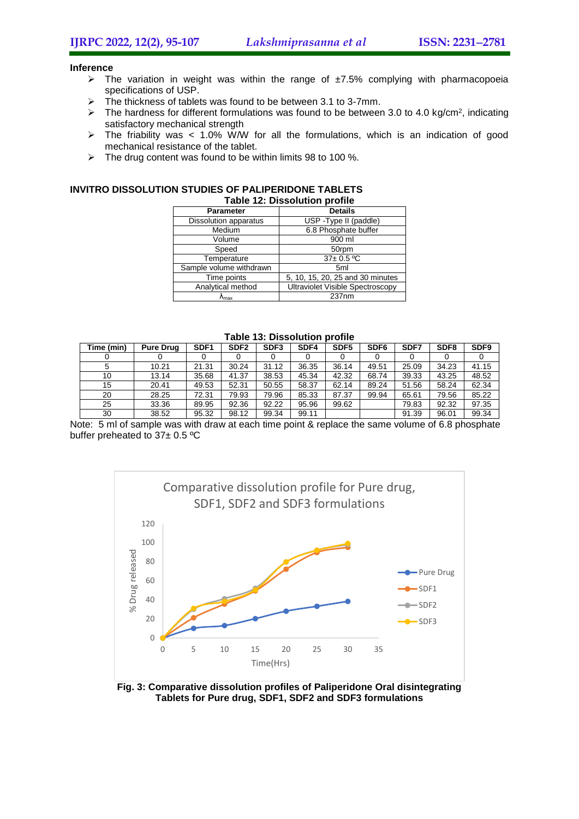#### **Inference**

- $\triangleright$  The variation in weight was within the range of  $\pm 7.5\%$  complying with pharmacopoeia specifications of USP.
- $\triangleright$  The thickness of tablets was found to be between 3.1 to 3-7mm.
- $\triangleright$  The hardness for different formulations was found to be between 3.0 to 4.0 kg/cm<sup>2</sup>, indicating satisfactory mechanical strength
- $\triangleright$  The friability was < 1.0% WM for all the formulations, which is an indication of good mechanical resistance of the tablet.
- $\triangleright$  The drug content was found to be within limits 98 to 100 %.

#### **INVITRO DISSOLUTION STUDIES OF PALIPERIDONE TABLETS Table 12: Dissolution profile**

| Table TZ: Dissolution profile |                                            |  |  |  |  |
|-------------------------------|--------------------------------------------|--|--|--|--|
| Parameter                     | <b>Details</b>                             |  |  |  |  |
| Dissolution apparatus         | USP - Type II (paddle)                     |  |  |  |  |
| Medium                        | 6.8 Phosphate buffer                       |  |  |  |  |
| Volume                        | 900 ml                                     |  |  |  |  |
| Speed                         | 50rpm                                      |  |  |  |  |
| Temperature                   | $37 \pm 0.5 \overline{{}^{\circ}\text{C}}$ |  |  |  |  |
| Sample volume withdrawn       | 5 <sub>ml</sub>                            |  |  |  |  |
| Time points                   | 5, 10, 15, 20, 25 and 30 minutes           |  |  |  |  |
| Analytical method             | <b>Ultraviolet Visible Spectroscopy</b>    |  |  |  |  |
| ∿max                          | 237nm                                      |  |  |  |  |

| TUMIY TVI PRVUVIULIVII MTVIIIV |                  |                  |                  |                  |       |                  |                  |       |                  |       |
|--------------------------------|------------------|------------------|------------------|------------------|-------|------------------|------------------|-------|------------------|-------|
| Time (min)                     | <b>Pure Drug</b> | SDF <sub>1</sub> | SDF <sub>2</sub> | SDF <sub>3</sub> | SDF4  | SDF <sub>5</sub> | SDF <sub>6</sub> | SDF7  | SDF <sub>8</sub> | SDF9  |
|                                |                  |                  |                  |                  |       |                  |                  |       |                  |       |
| .5                             | 10.21            | 21.31            | 30.24            | 31.12            | 36.35 | 36.14            | 49.51            | 25.09 | 34.23            | 41.15 |
| 10                             | 13.14            | 35.68            | 41.37            | 38.53            | 45.34 | 42.32            | 68.74            | 39.33 | 43.25            | 48.52 |
| 15                             | 20.41            | 49.53            | 52.31            | 50.55            | 58.37 | 62.14            | 89.24            | 51.56 | 58.24            | 62.34 |
| 20                             | 28.25            | 72.31            | 79.93            | 79.96            | 85.33 | 87.37            | 99.94            | 65.61 | 79.56            | 85.22 |
| 25                             | 33.36            | 89.95            | 92.36            | 92.22            | 95.96 | 99.62            |                  | 79.83 | 92.32            | 97.35 |
| 30                             | 38.52            | 95.32            | 98.12            | 99.34            | 99.11 |                  |                  | 91.39 | 96.01            | 99.34 |

#### **Table 13: Dissolution profile**

Note: 5 ml of sample was with draw at each time point & replace the same volume of 6.8 phosphate buffer preheated to 37± 0.5 ºC



**Fig. 3: Comparative dissolution profiles of Paliperidone Oral disintegrating Tablets for Pure drug, SDF1, SDF2 and SDF3 formulations**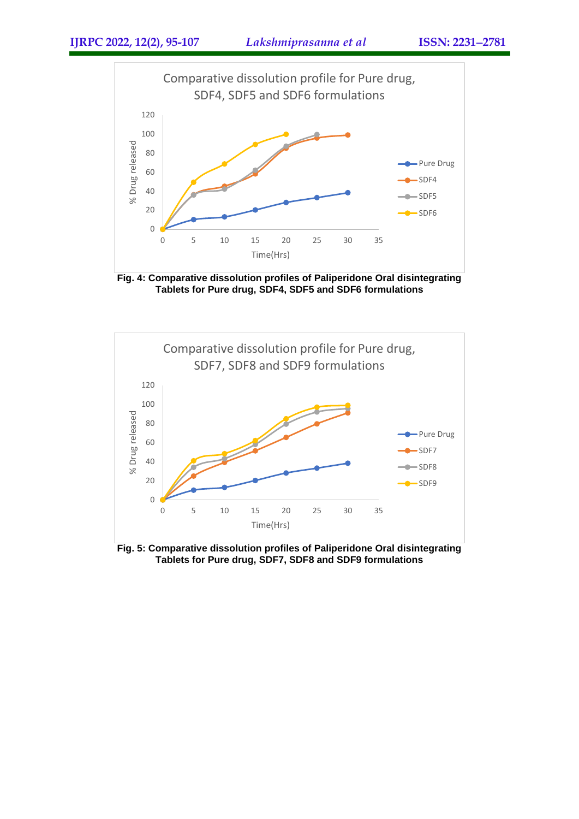

**Fig. 4: Comparative dissolution profiles of Paliperidone Oral disintegrating Tablets for Pure drug, SDF4, SDF5 and SDF6 formulations**



**Fig. 5: Comparative dissolution profiles of Paliperidone Oral disintegrating Tablets for Pure drug, SDF7, SDF8 and SDF9 formulations**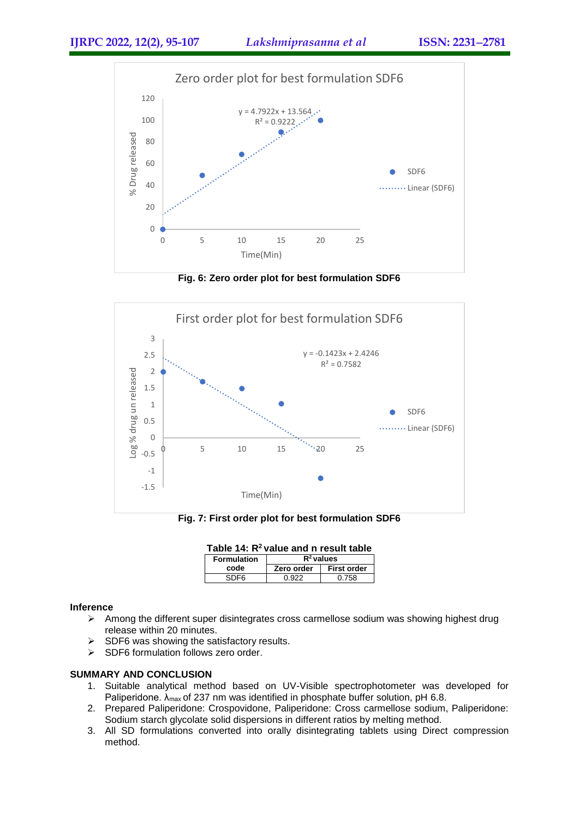

**Fig. 6: Zero order plot for best formulation SDF6**



**Fig. 7: First order plot for best formulation SDF6**

| Table 14: $R^2$ value and n result table |                          |  |  |  |  |
|------------------------------------------|--------------------------|--|--|--|--|
| <b>Formulation</b>                       | $R^2$ values             |  |  |  |  |
| code                                     | Zero order   First order |  |  |  |  |

SDF6 0.922 0.758

### **Inference**

- Among the different super disintegrates cross carmellose sodium was showing highest drug release within 20 minutes.
- $\triangleright$  SDF6 was showing the satisfactory results.
- $\triangleright$  SDF6 formulation follows zero order.

## **SUMMARY AND CONCLUSION**

- 1. Suitable analytical method based on UV-Visible spectrophotometer was developed for Paliperidone.  $\lambda_{\text{max}}$  of 237 nm was identified in phosphate buffer solution, pH 6.8.
- 2. Prepared Paliperidone: Crospovidone, Paliperidone: Cross carmellose sodium, Paliperidone: Sodium starch glycolate solid dispersions in different ratios by melting method.
- 3. All SD formulations converted into orally disintegrating tablets using Direct compression method.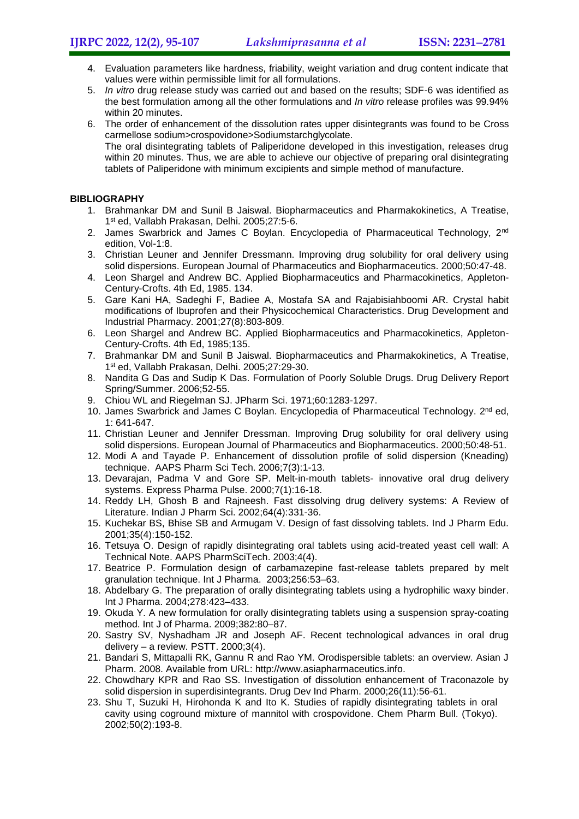- 4. Evaluation parameters like hardness, friability, weight variation and drug content indicate that values were within permissible limit for all formulations.
- 5. *In vitro* drug release study was carried out and based on the results; SDF-6 was identified as the best formulation among all the other formulations and *In vitro* release profiles was 99.94% within 20 minutes.
- 6. The order of enhancement of the dissolution rates upper disintegrants was found to be Cross carmellose sodium>crospovidone>Sodiumstarchglycolate. The oral disintegrating tablets of Paliperidone developed in this investigation, releases drug within 20 minutes. Thus, we are able to achieve our objective of preparing oral disintegrating tablets of Paliperidone with minimum excipients and simple method of manufacture.

## **BIBLIOGRAPHY**

- 1. Brahmankar DM and Sunil B Jaiswal. Biopharmaceutics and Pharmakokinetics, A Treatise, 1 st ed, Vallabh Prakasan, Delhi. 2005;27:5-6.
- 2. James Swarbrick and James C Boylan. Encyclopedia of Pharmaceutical Technology, 2<sup>nd</sup> edition, Vol-1:8.
- 3. Christian Leuner and Jennifer Dressmann. Improving drug solubility for oral delivery using solid dispersions. European Journal of Pharmaceutics and Biopharmaceutics. 2000;50:47-48.
- 4. Leon Shargel and Andrew BC. Applied Biopharmaceutics and Pharmacokinetics, Appleton-Century-Crofts. 4th Ed, 1985. 134.
- 5. Gare Kani HA, Sadeghi F, Badiee A, Mostafa SA and Rajabisiahboomi AR. Crystal habit modifications of Ibuprofen and their Physicochemical Characteristics. Drug Development and Industrial Pharmacy. 2001;27(8):803-809.
- 6. Leon Shargel and Andrew BC. Applied Biopharmaceutics and Pharmacokinetics, Appleton-Century-Crofts. 4th Ed, 1985;135.
- 7. Brahmankar DM and Sunil B Jaiswal. Biopharmaceutics and Pharmakokinetics, A Treatise, 1 st ed, Vallabh Prakasan, Delhi. 2005;27:29-30.
- 8. Nandita G Das and Sudip K Das. Formulation of Poorly Soluble Drugs. Drug Delivery Report Spring/Summer. 2006;52-55.
- 9. Chiou WL and Riegelman SJ. JPharm Sci. 1971;60:1283-1297.
- 10. James Swarbrick and James C Boylan. Encyclopedia of Pharmaceutical Technology. 2<sup>nd</sup> ed, 1: 641-647.
- 11. Christian Leuner and Jennifer Dressman. Improving Drug solubility for oral delivery using solid dispersions. European Journal of Pharmaceutics and Biopharmaceutics. 2000;50:48-51.
- 12. Modi A and Tayade P. Enhancement of dissolution profile of solid dispersion (Kneading) technique. AAPS Pharm Sci Tech. 2006;7(3):1-13.
- 13. Devarajan, Padma V and Gore SP. Melt-in-mouth tablets- innovative oral drug delivery systems. Express Pharma Pulse. 2000;7(1):16-18.
- 14. Reddy LH, Ghosh B and Rajneesh. Fast dissolving drug delivery systems: A Review of Literature. Indian J Pharm Sci. 2002;64(4):331-36.
- 15. Kuchekar BS, Bhise SB and Armugam V. Design of fast dissolving tablets. Ind J Pharm Edu. 2001;35(4):150-152.
- 16. Tetsuya O. Design of rapidly disintegrating oral tablets using acid-treated yeast cell wall: A Technical Note. AAPS PharmSciTech. 2003;4(4).
- 17. Beatrice P. Formulation design of carbamazepine fast-release tablets prepared by melt granulation technique. Int J Pharma. 2003;256:53–63.
- 18. Abdelbary G. The preparation of orally disintegrating tablets using a hydrophilic waxy binder. Int J Pharma. 2004;278:423–433.
- 19. Okuda Y. A new formulation for orally disintegrating tablets using a suspension spray-coating method. Int J of Pharma. 2009;382:80–87.
- 20. Sastry SV, Nyshadham JR and Joseph AF. Recent technological advances in oral drug delivery – a review. PSTT. 2000;3(4).
- 21. Bandari S, Mittapalli RK, Gannu R and Rao YM. Orodispersible tablets: an overview. Asian J Pharm. 2008. Available from URL: [http://www.asiapharmaceutics.info.](http://www.asiapharmaceutics.info/)
- 22. Chowdhary KPR and Rao SS. Investigation of dissolution enhancement of Traconazole by solid dispersion in superdisintegrants. Drug Dev Ind Pharm. 2000;26(11):56-61.
- 23. Shu T, Suzuki H, Hirohonda K and Ito K. Studies of rapidly disintegrating tablets in oral cavity using coground mixture of mannitol with crospovidone. Chem Pharm Bull. (Tokyo). 2002;50(2):193-8.